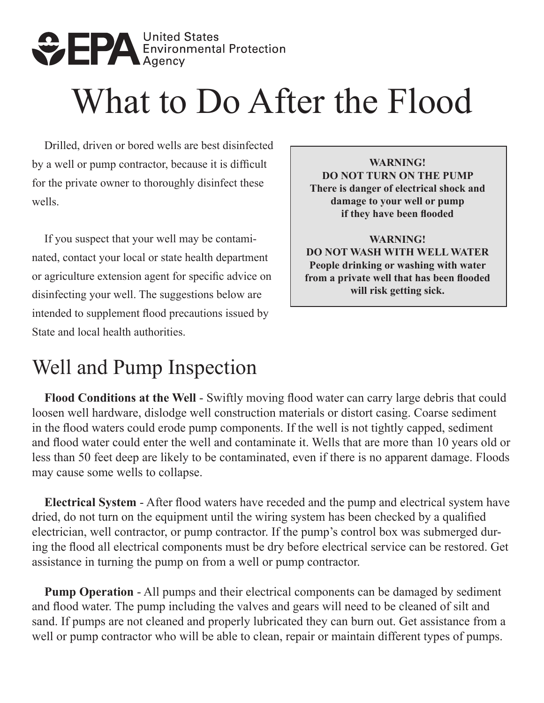

# What to Do After the Flood

Drilled, driven or bored wells are best disinfected by a well or pump contractor, because it is difficult for the private owner to thoroughly disinfect these wells.

If you suspect that your well may be contaminated, contact your local or state health department or agriculture extension agent for specific advice on disinfecting your well. The suggestions below are intended to supplement flood precautions issued by State and local health authorities.

**WARNING! DO NOT TURN ON THE PUMP There is danger of electrical shock and damage to your well or pump if they have been flooded** 

**WARNING! DO NOT WASH WITH WELL WATER People drinking or washing with water from a private well that has been flooded will risk getting sick.** 

## Well and Pump Inspection

**Flood Conditions at the Well** - Swiftly moving flood water can carry large debris that could loosen well hardware, dislodge well construction materials or distort casing. Coarse sediment in the flood waters could erode pump components. If the well is not tightly capped, sediment and flood water could enter the well and contaminate it. Wells that are more than 10 years old or less than 50 feet deep are likely to be contaminated, even if there is no apparent damage. Floods may cause some wells to collapse.

**Electrical System** - After flood waters have receded and the pump and electrical system have dried, do not turn on the equipment until the wiring system has been checked by a qualified electrician, well contractor, or pump contractor. If the pump's control box was submerged during the flood all electrical components must be dry before electrical service can be restored. Get assistance in turning the pump on from a well or pump contractor.

**Pump Operation** - All pumps and their electrical components can be damaged by sediment and flood water. The pump including the valves and gears will need to be cleaned of silt and sand. If pumps are not cleaned and properly lubricated they can burn out. Get assistance from a well or pump contractor who will be able to clean, repair or maintain different types of pumps.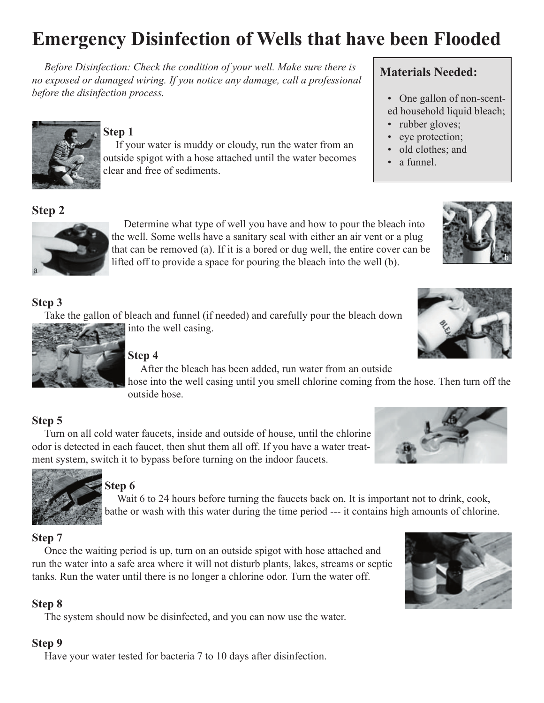# **Emergency Disinfection of Wells that have been Flooded**

*Before Disinfection: Check the condition of your well. Make sure there is no exposed or damaged wiring. If you notice any damage, call a professional before the disinfection process.*



#### **Step 1**

If your water is muddy or cloudy, run the water from an outside spigot with a hose attached until the water becomes

clear and free of sediments.

### **Materials Needed:**

- One gallon of non-scented household liquid bleach;
- rubber gloves;
- eye protection;
- old clothes; and
- a funnel.





Determine what type of well you have and how to pour the bleach into the well. Some wells have a sanitary seal with either an air vent or a plug that can be removed (a). If it is a bored or dug well, the entire cover can be lifted off to provide a space for pouring the bleach into the well (b).

#### **Step 3**

Take the gallon of bleach and funnel (if needed) and carefully pour the bleach down into the well casing.



#### **Step 4**

After the bleach has been added, run water from an outside

hose into the well casing until you smell chlorine coming from the hose. Then turn off the outside hose.

#### **Step 5**

Turn on all cold water faucets, inside and outside of house, until the chlorine odor is detected in each faucet, then shut them all off. If you have a water treatment system, switch it to bypass before turning on the indoor faucets.



#### **Step 6**

Wait 6 to 24 hours before turning the faucets back on. It is important not to drink, cook, bathe or wash with this water during the time period --- it contains high amounts of chlorine.

#### **Step 7**

Once the waiting period is up, turn on an outside spigot with hose attached and run the water into a safe area where it will not disturb plants, lakes, streams or septic tanks. Run the water until there is no longer a chlorine odor. Turn the water off.

#### **Step 8**

The system should now be disinfected, and you can now use the water.

#### **Step 9**

Have your water tested for bacteria 7 to 10 days after disinfection.